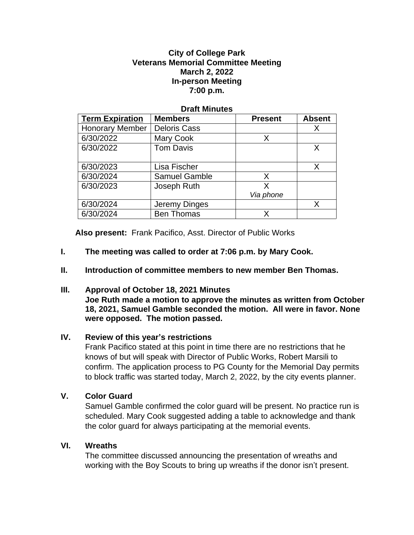#### **City of College Park Veterans Memorial Committee Meeting March 2, 2022 In-person Meeting 7:00 p.m.**

#### **Draft Minutes**

| <b>Term Expiration</b> | <b>Members</b>       | <b>Present</b> | <b>Absent</b> |
|------------------------|----------------------|----------------|---------------|
| <b>Honorary Member</b> | <b>Deloris Cass</b>  |                | x             |
| 6/30/2022              | <b>Mary Cook</b>     | X              |               |
| 6/30/2022              | <b>Tom Davis</b>     |                |               |
|                        |                      |                |               |
| 6/30/2023              | Lisa Fischer         |                | X             |
| 6/30/2024              | <b>Samuel Gamble</b> | X              |               |
| 6/30/2023              | Joseph Ruth          | x              |               |
|                        |                      | Via phone      |               |
| 6/30/2024              | Jeremy Dinges        |                |               |
| 6/30/2024              | <b>Ben Thomas</b>    | х              |               |

**Also present:** Frank Pacifico, Asst. Director of Public Works

- **I. The meeting was called to order at 7:06 p.m. by Mary Cook.**
- **II. Introduction of committee members to new member Ben Thomas.**

### **III. Approval of October 18, 2021 Minutes**

**Joe Ruth made a motion to approve the minutes as written from October 18, 2021, Samuel Gamble seconded the motion. All were in favor. None were opposed. The motion passed.** 

### **IV. Review of this year's restrictions**

Frank Pacifico stated at this point in time there are no restrictions that he knows of but will speak with Director of Public Works, Robert Marsili to confirm. The application process to PG County for the Memorial Day permits to block traffic was started today, March 2, 2022, by the city events planner.

### **V. Color Guard**

Samuel Gamble confirmed the color guard will be present. No practice run is scheduled. Mary Cook suggested adding a table to acknowledge and thank the color guard for always participating at the memorial events.

### **VI. Wreaths**

The committee discussed announcing the presentation of wreaths and working with the Boy Scouts to bring up wreaths if the donor isn't present.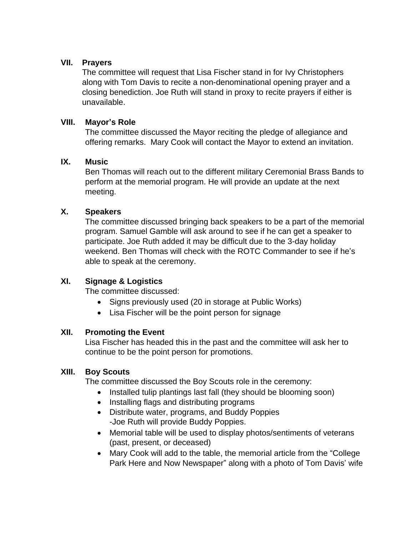## **VII. Prayers**

The committee will request that Lisa Fischer stand in for Ivy Christophers along with Tom Davis to recite a non-denominational opening prayer and a closing benediction. Joe Ruth will stand in proxy to recite prayers if either is unavailable.

## **VIII. Mayor's Role**

The committee discussed the Mayor reciting the pledge of allegiance and offering remarks. Mary Cook will contact the Mayor to extend an invitation.

## **IX. Music**

Ben Thomas will reach out to the different military Ceremonial Brass Bands to perform at the memorial program. He will provide an update at the next meeting.

# **X. Speakers**

The committee discussed bringing back speakers to be a part of the memorial program. Samuel Gamble will ask around to see if he can get a speaker to participate. Joe Ruth added it may be difficult due to the 3-day holiday weekend. Ben Thomas will check with the ROTC Commander to see if he's able to speak at the ceremony.

# **XI. Signage & Logistics**

The committee discussed:

- Signs previously used (20 in storage at Public Works)
- Lisa Fischer will be the point person for signage

### **XII. Promoting the Event**

Lisa Fischer has headed this in the past and the committee will ask her to continue to be the point person for promotions.

### **XIII. Boy Scouts**

The committee discussed the Boy Scouts role in the ceremony:

- Installed tulip plantings last fall (they should be blooming soon)
- Installing flags and distributing programs
- Distribute water, programs, and Buddy Poppies -Joe Ruth will provide Buddy Poppies.
- Memorial table will be used to display photos/sentiments of veterans (past, present, or deceased)
- Mary Cook will add to the table, the memorial article from the "College Park Here and Now Newspaper" along with a photo of Tom Davis' wife